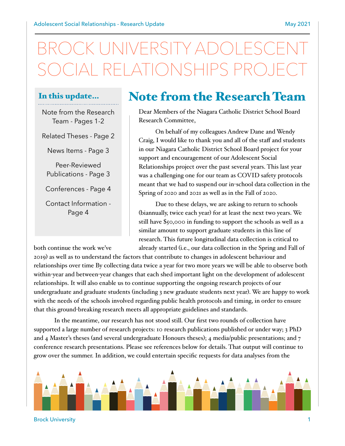# JIVERSITY ADO SOCIAL RELATIONSHIPS PROJECT

#### In this update…

Note from the Research Team - Pages 1-2

Related Theses - Page 2

News Items - Page 3

Peer-Reviewed Publications - Page 3

Conferences - Page 4

Contact Information - Page 4

#### Note from the Research Team

Dear Members of the Niagara Catholic District School Board Research Committee,

On behalf of my colleagues Andrew Dane and Wendy Craig, I would like to thank you and all of the staff and students in our Niagara Catholic District School Board project for your support and encouragement of our Adolescent Social Relationships project over the past several years. This last year was a challenging one for our team as COVID safety protocols meant that we had to suspend our in-school data collection in the Spring of 2020 and 2021 as well as in the Fall of 2020.

Due to these delays, we are asking to return to schools (biannually, twice each year) for at least the next two years. We still have \$50,000 in funding to support the schools as well as a similar amount to support graduate students in this line of research. This future longitudinal data collection is critical to both continue the work we've already started (i.e., our data collection in the Spring and Fall of

2019) as well as to understand the factors that contribute to changes in adolescent behaviour and relationships over time By collecting data twice a year for two more years we will be able to observe both within-year and between-year changes that each shed important light on the development of adolescent relationships. It will also enable us to continue supporting the ongoing research projects of our undergraduate and graduate students (including 3 new graduate students next year). We are happy to work with the needs of the schools involved regarding public health protocols and timing, in order to ensure that this ground-breaking research meets all appropriate guidelines and standards.

In the meantime, our research has not stood still. Our first two rounds of collection have supported a large number of research projects: 10 research publications published or under way; 3 PhD and 4 Master's theses (and several undergraduate Honours theses); 4 media/public presentations; and 7 conference research presentations. Please see references below for details. That output will continue to grow over the summer. In addition, we could entertain specific requests for data analyses from the



Brock University 1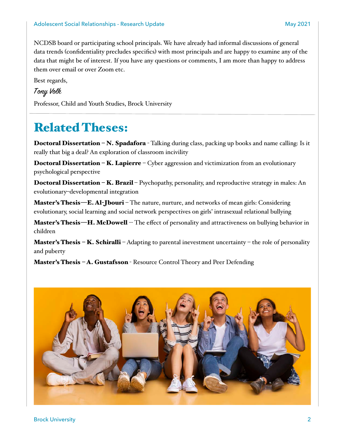NCDSB board or participating school principals. We have already had informal discussions of general data trends (confidentiality precludes specifics) with most principals and are happy to examine any of the data that might be of interest. If you have any questions or comments, I am more than happy to address them over email or over Zoom etc.

Best regards,

#### Tony Volk

Professor, Child and Youth Studies, Brock University

## Related Theses:

Doctoral Dissertation – N. Spadafora - Talking during class, packing up books and name calling: Is it really that big a deal? An exploration of classroom incivility

**Doctoral Dissertation – K. Lapierre –** Cyber aggression and victimization from an evolutionary psychological perspective

Doctoral Dissertation – K. Brazil – Psychopathy, personality, and reproductive strategy in males: An evolutionary–developmental integration

Master's Thesis—E. Al-Jbouri – The nature, nurture, and networks of mean girls: Considering evolutionary, social learning and social network perspectives on girls' intrasexual relational bullying

Master's Thesis-H. McDowell -- The effect of personality and attractiveness on bullying behavior in children

**Master's Thesis – K. Schiralli –** Adapting to parental inevestment uncertainty – the role of personality and puberty

**Master's Thesis - A. Gustafsson** - Resource Control Theory and Peer Defending

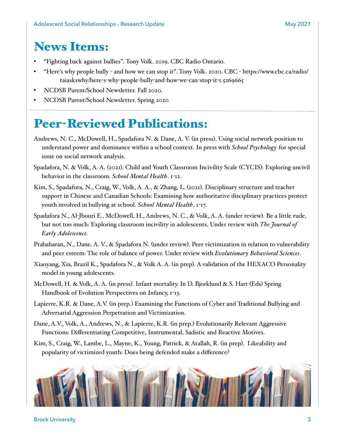## News Items:

- "Fighting back against bullies". Tony Volk. 2019. CBC Radio Ontario.
- "Here's why people bully and how we can stop it". Tony Volk. 2020. CBC [https://www.cbc.ca/radio/](https://www.cbc.ca/radio/taiaskswhy/here-s-why-people-bully-and-how-we-can-stop-it-1.5269665) [taiaskswhy/here](https://www.cbc.ca/radio/taiaskswhy/here-s-why-people-bully-and-how-we-can-stop-it-1.5269665)-s-why-people-bully-and-how-we-can-stop-it-1.5269665
- NCDSB Parent/School Newsletter. Fall 2020.
- NCDSB Parent/School Newsletter. Spring 2020

## Peer-Reviewed Publications:

- Andrews, N. C., McDowell, H., Spadafora N. & Dane, A. V. (in press). Using social network position to understand power and dominance within a school context. In press with *School Psychology* for special issue on social network analysis.
- Spadafora, N. & Volk, A. A. (2021). Child and Youth Classroom Incivility Scale (CYCIS): Exploring uncivil behavior in the classroom. *School Mental Health*. 1-12.
- Kim, S., Spadafora, N., Craig, W., Volk, A. A., & Zhang, L. (2021). Disciplinary structure and teacher support in Chinese and Canadian Schools: Examining how authoritative disciplinary practices protect youth involved in bullying at school. *School Mental Health*, 1-17.
- Spadafora N., Al-Jbouri E., McDowell, H., Andrews, N. C., & Volk, A. A. (under review). Be a little rude, but not too much: Exploring classroom incivility in adolescents. Under review with *The Journal of Early Adolescence.*
- Prabaharan, N., Dane, A. V., & Spadafora N. (under review). Peer victimization in relation to vulnerability and peer esteem: The role of balance of power. Under review with *Evolutionary Behavioral Sciences*.
- Xiaoyang, Xia, Brazil K., Spadafora N., & Volk A. A. (in prep). A validation of the HEXACO Personality model in young adolescents.
- McDowell, H. & Volk, A. A. (in press). Infant mortality. In D. Bjorklund & S. Hart (Eds) Spring Handbook of Evolution Perspectives on Infancy, 1-13.
- Lapierre, K.R. & Dane, A.V. (in prep.) Examining the Functions of Cyber and Traditional Bullying and Adversarial Aggression Perpetration and Victimization.
- Dane, A.V., Volk, A., Andrews, N., & Lapierre, K.R. (in prep.) Evolutionarily Relevant Aggressive Functions: Differentiating Competitive, Instrumental, Sadistic and Reactive Motives.
- Kim, S., Craig, W., Lambe, L., Mayne, K., Young, Patrick, & Atallah, R. (in prep). Likeability and popularity of victimized youth: Does being defended make a difference?